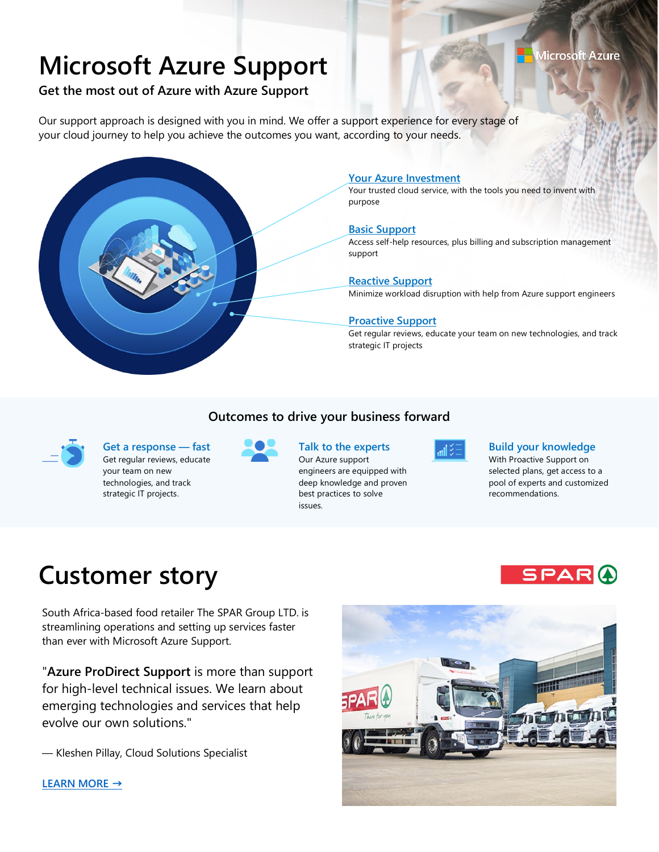# **Microsoft Azure Support**

### Microsoft Azure

## **Get the most out of Azure with Azure Support**

Our support approach is designed with you in mind. We offer a support experience for every stage of your cloud journey to help you achieve the outcomes you want, according to your needs.



#### **Your Azure Investment**

Your trusted cloud service, with the tools you need to invent with purpose

#### **Basic Support**

Access self-help resources, plus billing and subscription management support

#### **Reactive Support**

Minimize workload disruption with help from Azure support engineers

#### **Proactive Support**

Get regular reviews, educate your team on new technologies, and track strategic IT projects

#### **Outcomes to drive your business forward**



**Get a response — fast** Get regular reviews, educate your team on new technologies, and track strategic IT projects.



## **Talk to the experts**

Our Azure support engineers are equipped with deep knowledge and proven best practices to solve issues.



#### **Build your knowledge**

With Proactive Support on selected plans, get access to a pool of experts and customized recommendations.

SPARO

## **Customer story**

South Africa-based food retailer The SPAR Group LTD. is streamlining operations and setting up services faster than ever with Microsoft Azure Support.

"**Azure ProDirect Support** is more than support for high-level technical issues. We learn about emerging technologies and services that help evolve our own solutions."

— Kleshen Pillay, Cloud Solutions Specialist



**[LEARN MORE](https://customers.microsoft.com/en-us/story/spar-consumer-goods-azure)** [→](https://customers.microsoft.com/en-us/story/spar-consumer-goods-azure)